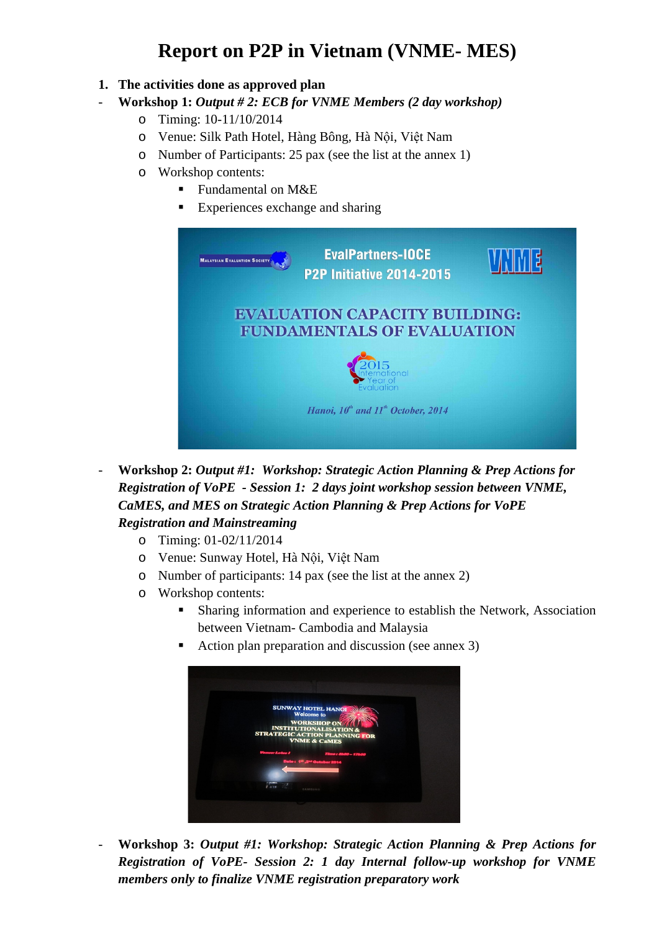# **Report on P2P in Vietnam (VNME- MES)**

**1. The activities done as approved plan**

### - **Workshop 1:** *Output # 2: ECB for VNME Members (2 day workshop)*

- o Timing: 10-11/10/2014
- o Venue: Silk Path Hotel, Hàng Bông, Hà Nội, Việt Nam
- o Number of Participants: 25 pax (see the list at the annex 1)
- o Workshop contents:
	- Fundamental on M&E
	- Experiences exchange and sharing

| <b>MALAYSIAN EVALUATION SOCIETY</b> | <b>EvalPartners-IOCE</b><br><b>P2P Initiative 2014-2015</b>               |  |
|-------------------------------------|---------------------------------------------------------------------------|--|
|                                     | <b>EVALUATION CAPACITY BUILDING:</b><br><b>FUNDAMENTALS OF EVALUATION</b> |  |
|                                     | aluation                                                                  |  |
|                                     | Hanoi, 10 <sup>th</sup> and 11 <sup>th</sup> October, 2014                |  |
|                                     |                                                                           |  |

- **Workshop 2:** *Output #1: Workshop: Strategic Action Planning & Prep Actions for Registration of VoPE - Session 1: 2 days joint workshop session between VNME, CaMES, and MES on Strategic Action Planning & Prep Actions for VoPE Registration and Mainstreaming*
	- o Timing: 01-02/11/2014
	- o Venue: Sunway Hotel, Hà Nội, Việt Nam
	- o Number of participants: 14 pax (see the list at the annex 2)
	- o Workshop contents:
		- Sharing information and experience to establish the Network, Association between Vietnam- Cambodia and Malaysia
		- Action plan preparation and discussion (see annex 3)



- **Workshop 3:** *Output #1: Workshop: Strategic Action Planning & Prep Actions for Registration of VoPE- Session 2: 1 day Internal follow-up workshop for VNME members only to finalize VNME registration preparatory work*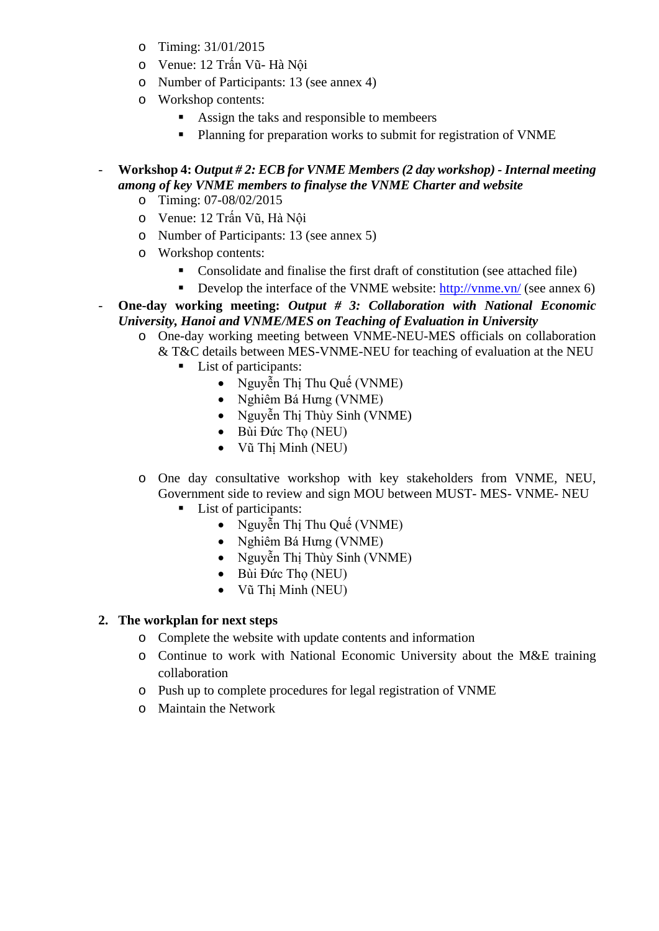- o Timing: 31/01/2015
- o Venue: 12 Trấn Vũ- Hà Nội
- o Number of Participants: 13 (see annex 4)
- o Workshop contents:
	- Assign the taks and responsible to membeers
	- **Planning for preparation works to submit for registration of VNME**

#### - **Workshop 4:** *Output # 2: ECB for VNME Members (2 day workshop) - Internal meeting among of key VNME members to finalyse the VNME Charter and website*

- o Timing: 07-08/02/2015
- o Venue: 12 Trấn Vũ, Hà Nội
- o Number of Participants: 13 (see annex 5)
- o Workshop contents:
	- Consolidate and finalise the first draft of constitution (see attached file)
	- Develop the interface of the VNME website:  $\frac{http://vmne.vn/(see annex6)}{$
- **One-day working meeting:** *Output # 3: Collaboration with National Economic University, Hanoi and VNME/MES on Teaching of Evaluation in University*
	- o One-day working meeting between VNME-NEU-MES officials on collaboration & T&C details between MES-VNME-NEU for teaching of evaluation at the NEU
		- List of participants:
			- Nguyễn Thi Thu Quế (VNME)
			- Nghiêm Bá Hưng (VNME)
			- Nguyễn Thi Thùy Sinh (VNME)
			- Bùi Đức Tho (NEU)
			- Vũ Thị Minh (NEU)
	- o One day consultative workshop with key stakeholders from VNME, NEU, Government side to review and sign MOU between MUST- MES- VNME- NEU
		- List of participants:
			- Nguyễn Thị Thu Quế (VNME)
			- Nghiêm Bá Hưng (VNME)
			- Nguyễn Thi Thùy Sinh (VNME)
			- Bùi Đức Tho (NEU)
			- Vũ Thị Minh (NEU)

#### **2. The workplan for next steps**

- o Complete the website with update contents and information
- o Continue to work with National Economic University about the M&E training collaboration
- o Push up to complete procedures for legal registration of VNME
- o Maintain the Network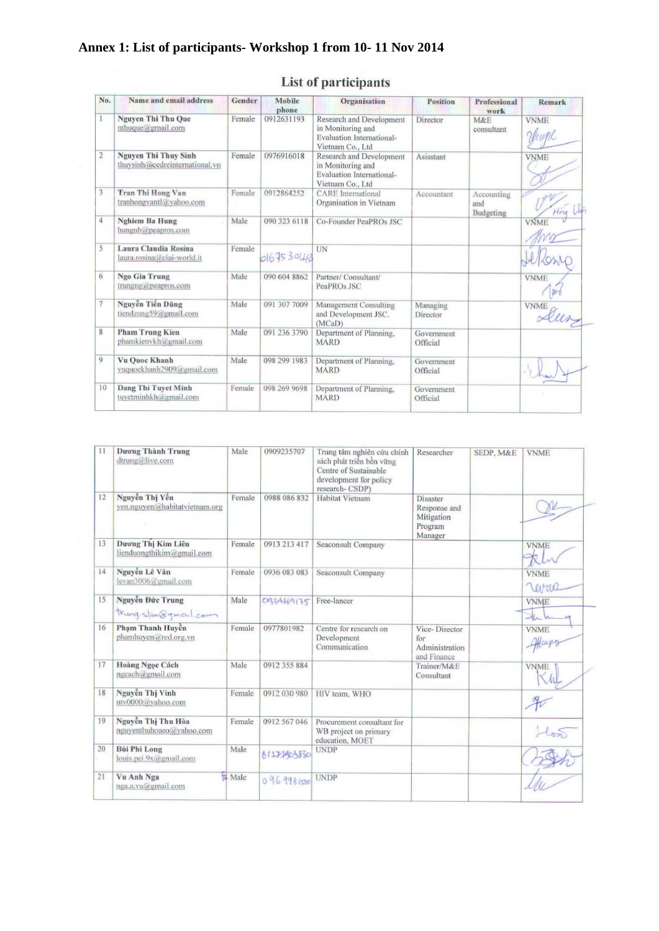## **Annex 1: List of participants- Workshop 1 from 10- 11 Nov 2014**

| No.          | Name and email address                                        | Gender | Mobile<br>phone | Organisation                                                                                          | <b>Position</b>        | Professional<br>work           | <b>Remark</b>        |
|--------------|---------------------------------------------------------------|--------|-----------------|-------------------------------------------------------------------------------------------------------|------------------------|--------------------------------|----------------------|
|              | <b>Nguyen Thi Thu Que</b><br>nthuque@gmail.com                | Female | 0912631193      | Research and Development<br>in Monitoring and<br><b>Evaluation International-</b><br>Vietnam Co., Ltd | Director               | M&E<br>consultant              | <b>VNME</b><br>Unine |
| $\mathbf{2}$ | <b>Nguyen Thi Thuy Sinh</b><br>thuysinh@cedreinternational.vn | Female | 0976916018      | Research and Development<br>in Monitoring and<br><b>Evaluation International-</b><br>Vietnam Co., Ltd | Asisstant              |                                | <b>VNME</b>          |
| 3            | Tran Thi Hong Van<br>tranhongvantl@vahoo.com                  | Female | 0912864252      | <b>CARE</b> International<br>Organisation in Vietnam                                                  | Accountant             | Accounting<br>and<br>Budgeting |                      |
| 4            | <b>Nghiem Ba Hung</b><br>hungnb@peapros.com                   | Male   | 090 323 6118    | Co-Founder PeaPROs JSC                                                                                |                        |                                | <b>VNME</b>          |
| 5            | Laura Claudia Rosina<br>laura.rosina@ciai-world.it            | Female | 0167530463      | UN                                                                                                    |                        |                                |                      |
| 6            | Ngo Gia Trung<br>trungng@peapros.com                          | Male   | 090 604 8862    | Partner/ Consultant/<br>PeaPROs JSC                                                                   |                        |                                | <b>VNME</b>          |
| 7            | Nguyễn Tiến Dũng<br>tiendzung59@gmail.com                     | Male   | 091 307 7009    | Management Consulting<br>and Development JSC.<br>(MCaD)                                               | Managing<br>Director   |                                | <b>VNME</b>          |
| 8            | <b>Pham Trung Kien</b><br>phamkienykh@gmail.com               | Male   | 091 236 3790    | Department of Planning.<br><b>MARD</b>                                                                | Government<br>Official |                                |                      |
| 9            | Vu Ouoc Khanh<br>vuquockhanh2909@gmail.com                    | Male   | 098 299 1983    | Department of Planning.<br><b>MARD</b>                                                                | Government<br>Official |                                |                      |
| 10           | Dang Thi Tuyet Minh<br>tuvetminhkh@gmail.com                  | Female | 098 269 9698    | Department of Planning,<br><b>MARD</b>                                                                | Government<br>Official |                                |                      |

## List of participants

| 11 | Dương Thành Trung<br>dtrung@live.com            | Male        | 0909235707   | Trung tâm nghiên cứu chính<br>sách phát triển bền vững<br>Centre of Sustainable<br>development for policy<br>research-CSDP) | Researcher                                                   | SEDP, M&E | <b>VNME</b>           |
|----|-------------------------------------------------|-------------|--------------|-----------------------------------------------------------------------------------------------------------------------------|--------------------------------------------------------------|-----------|-----------------------|
| 12 | Nguyễn Thị Yến<br>ven.nguven@habitatvietnam.org | Female      | 0988 086 832 | Habitat Vietnam                                                                                                             | Disaster<br>Response and<br>Mitigation<br>Program<br>Manager |           |                       |
| 13 | Dương Thi Kim Liên<br>lienduongthikim@gmail.com | Female      | 0913 213 417 | Seaconsult Company                                                                                                          |                                                              |           | <b>VNME</b>           |
| 14 | Nguyễn Lê Vân<br>levan3006@gmail.com            | Female      | 0936 083 083 | Seaconsult Company                                                                                                          |                                                              |           | <b>VNME</b><br>Verran |
| 15 | Nguyễn Đức Trung<br>trung.slim@gmail.com        | Male        | 0934669175   | Free-lancer                                                                                                                 |                                                              |           | <b>VNME</b><br>$\geq$ |
| 16 | Phạm Thanh Huyền<br>phamhuven@red.org.vn        | Female      | 0977801982   | Centre for research on<br>Development<br>Communication                                                                      | Vice-Director<br>for<br>Administration<br>and Finance        |           | <b>VNME</b>           |
| 17 | Hoàng Ngọc Cách<br>ngcach@gmail.com             | Male        | 0912 355 884 |                                                                                                                             | Trainer/M&E<br>Consultant                                    |           | <b>VNME</b>           |
| 18 | Nguyễn Thi Vinh<br>ntv0000@vahoo.com            | Female      | 0912 030 980 | HIV team, WHO                                                                                                               |                                                              |           |                       |
| 19 | Nguyễn Thị Thu Hòa<br>nguyenthuhoaeo@yahoo.com  | Female      | 0912 567 046 | Procurement consultant for<br>WB project on primary<br>education, MOET                                                      |                                                              |           |                       |
| 20 | <b>Bùi Phi Long</b><br>louis.pei.9x@gmail.com   | Male        | 61273903830  | <b>UNDP</b>                                                                                                                 |                                                              |           |                       |
| 21 | Vu Anh Nga<br>nga.a.vu@gmail.com                | <b>Nale</b> | 0969981500   | <b>UNDP</b>                                                                                                                 |                                                              |           |                       |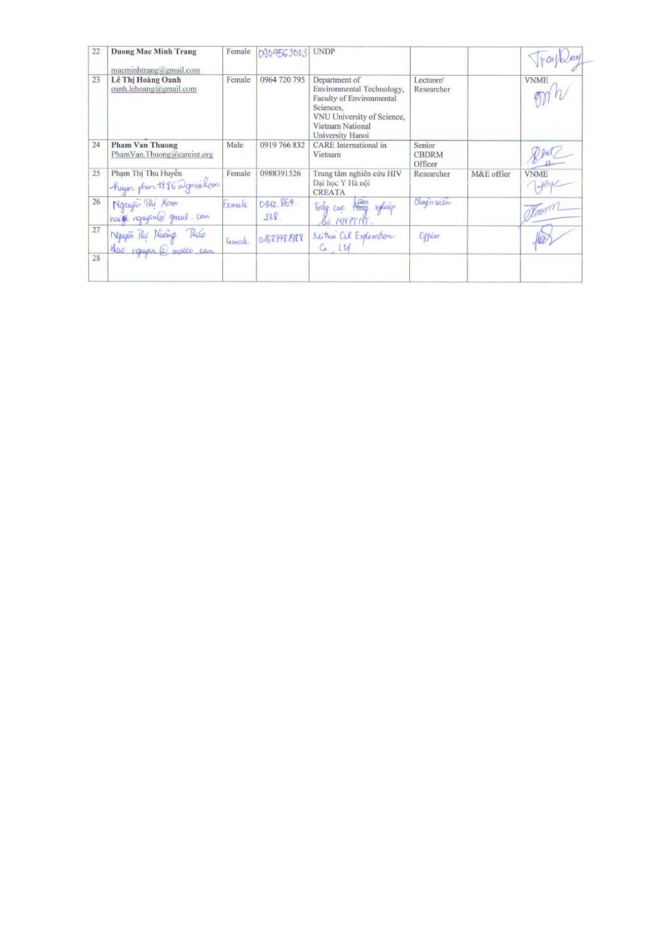| 22 | <b>Duong Mac Minh Trang</b><br>macminhtrang@gmail.com | Female  | 0804563623         | <b>UNDP</b>                                                                                                                                               |                                   |            |             |
|----|-------------------------------------------------------|---------|--------------------|-----------------------------------------------------------------------------------------------------------------------------------------------------------|-----------------------------------|------------|-------------|
| 23 | Lê Thị Hoàng Oanh<br>oanh.lehoang@gmail.com           | Female  | 0964 720 795       | Department of<br>Environmental Technology,<br>Faculty of Environmental<br>Sciences,<br>VNU University of Science,<br>Vietnam National<br>University Hanoi | Lecturer/<br>Researcher           |            | <b>VNME</b> |
| 24 | <b>Pham Van Thuong</b><br>PhamVan.Thuong@careint.org  | Male    | 0919 766 832       | <b>CARE</b> International in<br>Vietnam                                                                                                                   | Senior<br><b>CBDRM</b><br>Officer |            |             |
| 25 | Phạm Thị Thu Huyền<br>huyor phan #86 agricolon        | Female  | 0988391526         | Trung tâm nghiên cứu HIV<br>Đại học Y Hà nội<br><b>CREATA</b>                                                                                             | Researcher                        | M&E offier | <b>VNME</b> |
| 26 | Nguyễo Túi Xoan<br>haire requiremental general. Com   | temale  | 0912.864.<br>938.  | Jam<br>Hong waluep<br>Tong cac<br>BO NNPTNT                                                                                                               | Cheepin peller                    |            | mom         |
| 27 | Naupen The Hudens<br>theo veryon a malco com          | Fernale | <b>O/683481988</b> | Nutter al Exploration<br>$C_0$ , Ltd                                                                                                                      | Officer                           |            |             |
| 28 |                                                       |         |                    |                                                                                                                                                           |                                   |            |             |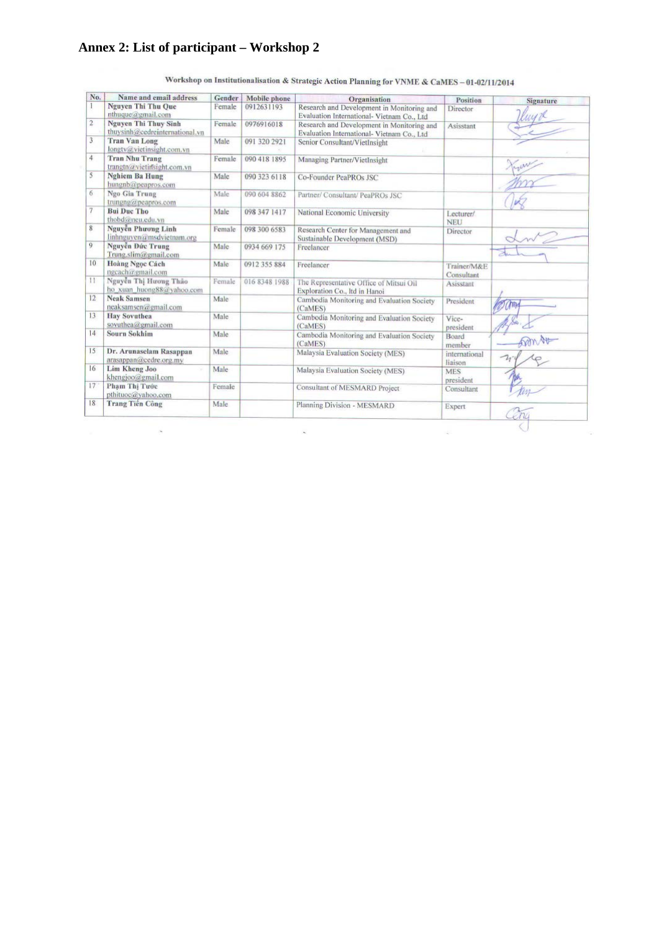### **Annex 2: List of participant – Workshop 2**

| No.            | Name and email address                                        | Gender | Mobile phone  | Organisation                                                                             | Position                  | Signature |
|----------------|---------------------------------------------------------------|--------|---------------|------------------------------------------------------------------------------------------|---------------------------|-----------|
|                | <b>Nguyen Thi Thu Oue</b><br>nthuque@gmail.com                | Female | 0912631193    | Research and Development in Monitoring and<br>Evaluation International- Vietnam Co., Ltd | Director                  |           |
| $\overline{2}$ | <b>Nguyen Thi Thuy Sinh</b><br>thuysinh@eedreinternational.vn | Female | 0976916018    | Research and Development in Monitoring and<br>Evaluation International- Vietnam Co., Ltd | Asisstant                 |           |
| 3              | <b>Tran Van Long</b><br>longtv@vietinsight.com.vn             | Male   | 091 320 2921  | Senior Consultant/VietInsight                                                            |                           |           |
| 4              | <b>Tran Nhu Trang</b><br>trangtn@vietirfsight.com.vn          | Female | 090 418 1895  | Managing Partner/VietInsight                                                             |                           |           |
| 5              | <b>Nghiem Ba Hung</b><br>hungnb@peapros.com                   | Male   | 090 323 6118  | Co-Founder PeaPROs JSC                                                                   |                           |           |
| 6              | Ngo Gia Trung<br>trungng@peapros.com                          | Male   | 090 604 8862  | Partner/ Consultant/ PeaPROs JSC                                                         |                           |           |
| 7              | <b>Bui Duc Tho</b><br>thobd@neu.edu.vn                        | Male   | 098 347 1417  | National Economic University                                                             | Lecturer/<br><b>NEU</b>   |           |
| 8              | Nguyễn Phương Linh<br>linhnguven@msdvietnam.org               | Female | 098 300 6583  | Research Center for Management and<br>Sustainable Development (MSD)                      | Director                  |           |
| $\overline{Q}$ | Nguyễn Đức Trung<br>Trung.slim@gmail.com                      | Male   | 0934 669 175  | Freelancer                                                                               |                           |           |
| 10             | <b>Hoàng Ngọc Cách</b><br>ngcach@gmail.com                    | Male   | 0912 355 884  | Freelancer                                                                               | Trainer/M&E<br>Consultant |           |
| 11             | Nguyễn Thị Hương Thảo<br>ho xuan huong88@vahoo.com            | Female | 016 8348 1988 | The Representative Office of Mitsui Oil<br>Exploration Co., Itd in Hanoi                 | Asisstant                 |           |
| 12             | <b>Neak Samsen</b><br>neaksamsen@gmail.com                    | Male   |               | Cambodia Monitoring and Evaluation Society<br>(CaMES)                                    | President                 |           |
| 13             | <b>Hay Sovuthea</b><br>sovuthea@gmail.com                     | Male   |               | Cambodia Monitoring and Evaluation Society<br>(CaMES)                                    | Vice-<br>president        |           |
| 14             | <b>Sourn Sokhim</b>                                           | Male   |               | Cambodia Monitoring and Evaluation Society<br>(CaMES)                                    | Board<br>member           | m Au      |
| 15             | Dr. Arunaselam Rasappan<br>arasappan@cedre.org.my             | Male   |               | Malaysia Evaluation Society (MES)                                                        | international<br>liaison  | $\neg$    |
| 16             | Lim Kheng Joo<br>khengjoo@gmail.com                           | Male   |               | Malaysia Evaluation Society (MES)                                                        | <b>MES</b><br>president   |           |
| 17             | Pham Thi Tước<br>pthituoc@yahoo.com                           | Female |               | Consultant of MESMARD Project                                                            | Consultant                |           |
| 18             | <b>Trang Tiền Công</b>                                        | Male   |               | Planning Division - MESMARD                                                              | Expert                    |           |

Workshop on Institutionalisation & Strategic Action Planning for VNME & CaMES-01-02/11/2014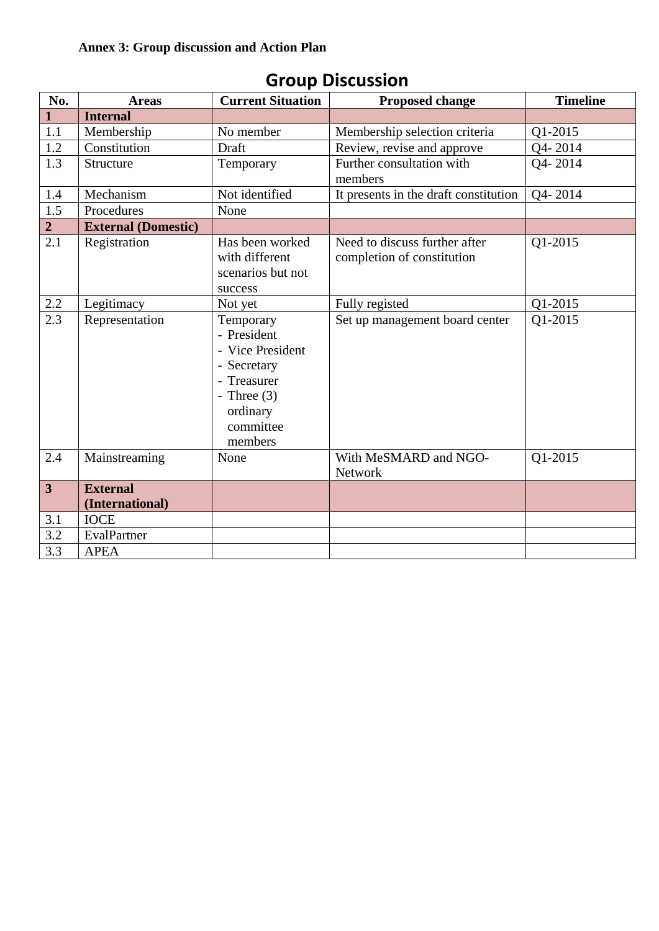| No.                     | <b>Areas</b>                       | <b>Current Situation</b>                                                                                                        | <b>Proposed change</b>                                      | <b>Timeline</b> |
|-------------------------|------------------------------------|---------------------------------------------------------------------------------------------------------------------------------|-------------------------------------------------------------|-----------------|
| $\mathbf{1}$            | <b>Internal</b>                    |                                                                                                                                 |                                                             |                 |
| 1.1                     | Membership                         | No member                                                                                                                       | Membership selection criteria                               | Q1-2015         |
| 1.2                     | Constitution                       | Draft                                                                                                                           | Review, revise and approve                                  | Q4-2014         |
| 1.3                     | Structure                          | Temporary                                                                                                                       | Further consultation with<br>members                        | Q4-2014         |
| 1.4                     | Mechanism                          | Not identified                                                                                                                  | It presents in the draft constitution                       | Q4-2014         |
| 1.5                     | Procedures                         | None                                                                                                                            |                                                             |                 |
| $\overline{2}$          | <b>External (Domestic)</b>         |                                                                                                                                 |                                                             |                 |
| $\overline{2.1}$        | Registration                       | Has been worked<br>with different<br>scenarios but not<br>success                                                               | Need to discuss further after<br>completion of constitution | Q1-2015         |
| $2.2\,$                 | Legitimacy                         | Not yet                                                                                                                         | Fully registed                                              | Q1-2015         |
| 2.3                     | Representation                     | Temporary<br>- President<br>- Vice President<br>- Secretary<br>- Treasurer<br>- Three $(3)$<br>ordinary<br>committee<br>members | Set up management board center                              | Q1-2015         |
| 2.4                     | Mainstreaming                      | None                                                                                                                            | With MeSMARD and NGO-<br>Network                            | Q1-2015         |
| $\overline{\mathbf{3}}$ | <b>External</b><br>(International) |                                                                                                                                 |                                                             |                 |
| 3.1                     | <b>IOCE</b>                        |                                                                                                                                 |                                                             |                 |
| 3.2                     | EvalPartner                        |                                                                                                                                 |                                                             |                 |
| 3.3                     | <b>APEA</b>                        |                                                                                                                                 |                                                             |                 |

## **Group Discussion**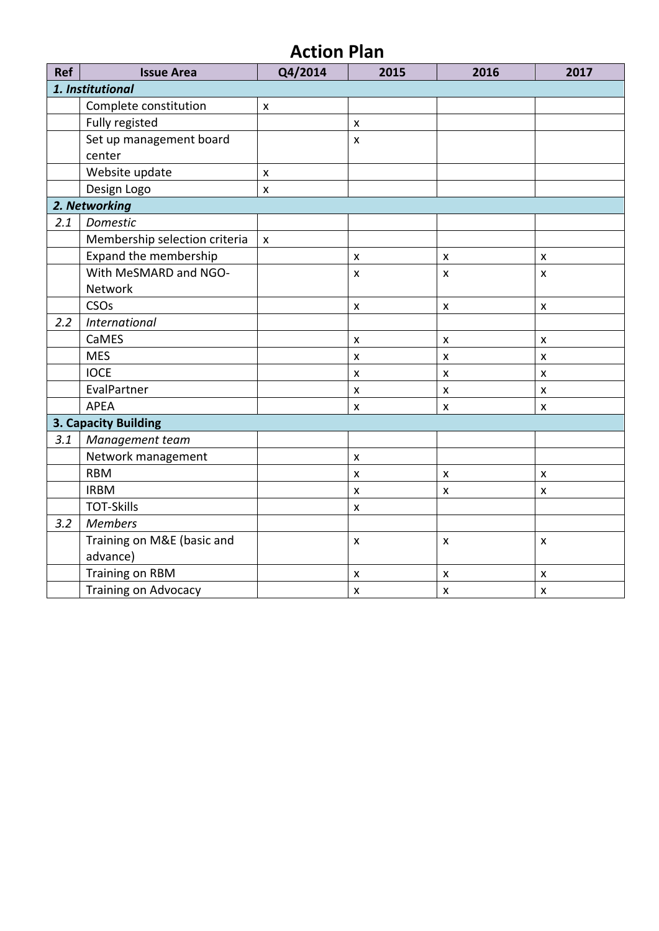# **Action Plan**

| <b>Ref</b> | <b>Issue Area</b>             | Q4/2014            | 2015               | 2016               | 2017               |
|------------|-------------------------------|--------------------|--------------------|--------------------|--------------------|
|            | 1. Institutional              |                    |                    |                    |                    |
|            | Complete constitution         | $\pmb{\mathsf{X}}$ |                    |                    |                    |
|            | Fully registed                |                    | $\pmb{\mathsf{x}}$ |                    |                    |
|            | Set up management board       |                    | $\pmb{\mathsf{X}}$ |                    |                    |
|            | center                        |                    |                    |                    |                    |
|            | Website update                | $\pmb{\mathsf{X}}$ |                    |                    |                    |
|            | Design Logo                   | $\pmb{\mathsf{X}}$ |                    |                    |                    |
|            | 2. Networking                 |                    |                    |                    |                    |
| 2.1        | Domestic                      |                    |                    |                    |                    |
|            | Membership selection criteria | $\pmb{\mathsf{x}}$ |                    |                    |                    |
|            | Expand the membership         |                    | $\pmb{\mathsf{X}}$ | $\pmb{\times}$     | $\pmb{\mathsf{X}}$ |
|            | With MeSMARD and NGO-         |                    | X                  | $\pmb{\times}$     | X                  |
|            | Network                       |                    |                    |                    |                    |
|            | CSOs                          |                    | $\pmb{\mathsf{x}}$ | $\pmb{\times}$     | $\pmb{\mathsf{x}}$ |
| 2.2        | <b>International</b>          |                    |                    |                    |                    |
|            | CaMES                         |                    | $\pmb{\times}$     | $\pmb{\times}$     | $\pmb{\times}$     |
|            | <b>MES</b>                    |                    | X                  | $\pmb{\mathsf{x}}$ | $\mathsf{x}$       |
|            | <b>IOCE</b>                   |                    | $\pmb{\mathsf{X}}$ | $\pmb{\mathsf{x}}$ | $\pmb{\mathsf{X}}$ |
|            | EvalPartner                   |                    | $\pmb{\mathsf{X}}$ | x                  | $\pmb{\times}$     |
|            | <b>APEA</b>                   |                    | $\pmb{\mathsf{X}}$ | $\pmb{\times}$     | $\pmb{\mathsf{X}}$ |
|            | <b>3. Capacity Building</b>   |                    |                    |                    |                    |
| 3.1        | Management team               |                    |                    |                    |                    |
|            | Network management            |                    | $\pmb{\times}$     |                    |                    |
|            | <b>RBM</b>                    |                    | $\pmb{\mathsf{x}}$ | $\pmb{\mathsf{X}}$ | $\pmb{\times}$     |
|            | <b>IRBM</b>                   |                    | $\pmb{\mathsf{X}}$ | X                  | X                  |
|            | <b>TOT-Skills</b>             |                    | $\pmb{\mathsf{X}}$ |                    |                    |
| 3.2        | <b>Members</b>                |                    |                    |                    |                    |
|            | Training on M&E (basic and    |                    | $\pmb{\times}$     | $\pmb{\times}$     | $\pmb{\times}$     |
|            | advance)                      |                    |                    |                    |                    |
|            | <b>Training on RBM</b>        |                    | $\pmb{\mathsf{x}}$ | X                  | $\pmb{\times}$     |
|            | <b>Training on Advocacy</b>   |                    | $\pmb{\mathsf{X}}$ | $\pmb{\times}$     | $\pmb{\mathsf{x}}$ |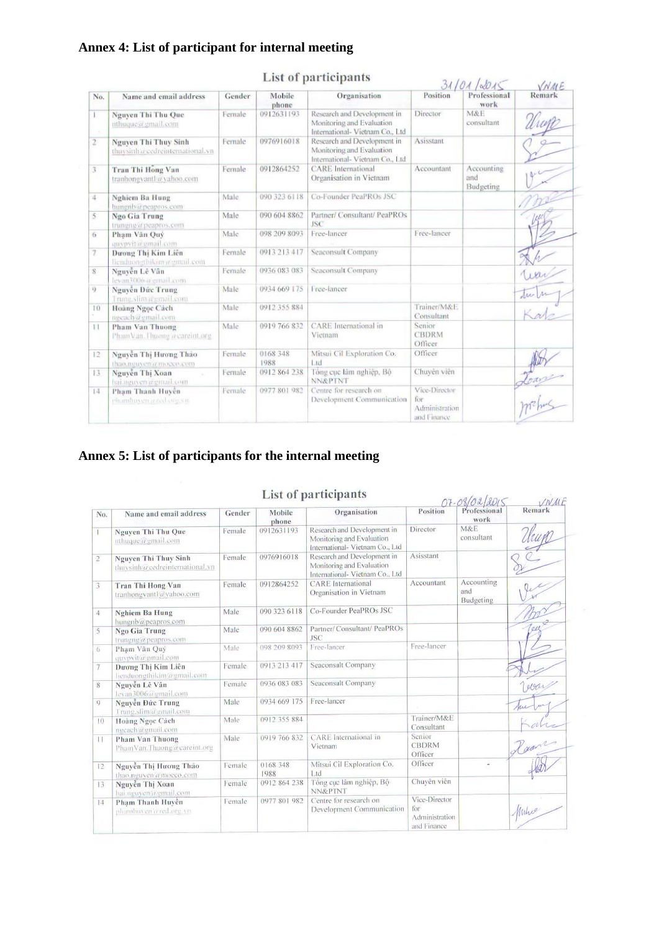### **Annex 4: List of participant for internal meeting**

|                |                                                                  |         |                  | гля от рагистрания                                                                          |                                                       | 3110110015                     | VNME   |
|----------------|------------------------------------------------------------------|---------|------------------|---------------------------------------------------------------------------------------------|-------------------------------------------------------|--------------------------------|--------|
| No.            | Name and email address                                           | Gender  | Mobile<br>phone  | Organisation                                                                                | Position                                              | Professional<br>work           | Remark |
| T<br>- 62      | Nguyen Thi Thu Que<br>nthuque@gmail.com                          | Female  | 0912631193       | Research and Development in<br>Monitoring and Evaluation<br>International- Vietnam Co., Ltd | Director                                              | M&E<br>consultant              |        |
| $\mathbf{2}$   | <b>Nguyen Thi Thuy Sinh</b><br>thuy sinh a cedreinternational.vn | Female  | 0976916018       | Research and Development in<br>Monitoring and Evaluation<br>International- Vietnam Co., Ltd | Asisstant                                             |                                |        |
| 3              | Tran Thi Hong Van<br>tranhongvantl@vahoo.com                     | Female  | 0912864252       | <b>CARE</b> International<br>Organisation in Vietnam                                        | Accountant                                            | Accounting<br>and<br>Budgeting |        |
| 4              | Nghiem Ba Hung<br>hungnb@peapros.com                             | Male    | 090 323 6118     | Co-Founder PeaPROs JSC                                                                      |                                                       |                                |        |
| 5.             | Ngo Gia Trung<br>trungng@peapros.com                             | Male    | 090 604 8862     | Partner/ Consultant/ PeaPROs<br><b>ISC</b>                                                  |                                                       |                                |        |
| 6              | Phạm Văn Quý<br>quypyit@gmail.com                                | Male    | 098 209 8093     | Free-lancer                                                                                 | Free-lancer                                           |                                |        |
| $\overline{7}$ | Dương Thi Kim Liên<br>lienduongthikimavgmmi com                  | Female  | 0913 213 417     | Seaconsult Company                                                                          |                                                       |                                |        |
| 8              | Nguyễn Lê Vân<br>levan3006@gritoil.com                           | Female  | 0936 083 083     | Seaconsult Company                                                                          |                                                       |                                |        |
| 4              | Nguyễn Đức Trung<br>Trung slim abunail.com                       | Male    | 0934 669 175     | Free-lancer                                                                                 |                                                       |                                |        |
| 10             | Hoàng Ngọc Cách<br>ngcach@gmail.com                              | Male    | 0912 355 884     |                                                                                             | Trainer/M&E<br>Consultant                             |                                |        |
| 11             | Pham Van Thuong<br>PhamVan. Thuong a careint.org                 | Male    | 0919 766 832     | <b>CARE</b> International in<br>Vietnam                                                     | Senior<br><b>CBDRM</b><br>Officer                     |                                |        |
| 12             | Nguyễn Thị Hương Thảo<br>thao, neuven'a mocco.com                | Female  | 0168 348<br>1988 | Mitsui Cil Exploration Co.<br>Ltd                                                           | Officer                                               |                                |        |
| 13             | Nguyễn Thị Xoan<br>hai, nguyen a guiarl.com                      | Female  | 0912 864 238     | Tông cục lâm nghiệp, Bộ<br><b>NN&amp;PTNT</b>                                               | Chuyên viên                                           |                                |        |
| 14             | Pham Thanh Huyền<br>phanthuyen a red organi-                     | Fernale | 0977 801 982     | Centre for research on<br>Development Communication                                         | Vice-Director<br>for<br>Administration<br>and Finance |                                |        |

### List of participants

### **Annex 5: List of participants for the internal meeting**

|                |                                                        |        |                  | List of participants                                                                        |                                                       | $07 - 08/02/2015$              | VNME   |
|----------------|--------------------------------------------------------|--------|------------------|---------------------------------------------------------------------------------------------|-------------------------------------------------------|--------------------------------|--------|
| No.            | Name and email address                                 | Gender | Mobile<br>phone  | Organisation                                                                                | Position                                              | work                           | Remark |
|                | Nguyen Thi Thu Que<br>nthuque@gmail.com                | Female | 0912631193       | Research and Development in<br>Monitoring and Evaluation<br>International- Vietnam Co., Ltd | Director                                              | M&E<br>consultant              |        |
| $\overline{2}$ | Nguyen Thi Thuy Sinh<br>thuysinh@cedreinternational.vn | Female | 0976916018       | Research and Development in<br>Monitoring and Evaluation<br>International- Vietnam Co., Ltd | Asisstant                                             |                                |        |
| 3              | Tran Thi Hong Van<br>tranhongvantl a vahoo.com         | Female | 0912864252       | <b>CARE</b> International<br>Organisation in Vietnam                                        | Accountant                                            | Accounting<br>and<br>Budgeting |        |
| 4              | <b>Nghiem Ba Hung</b><br>bungnb@peapros.com            | Male   | 090 323 6118     | Co-Founder PeaPROs JSC                                                                      |                                                       |                                |        |
| 5              | Ngo Gia Trung<br>trunging@peapros.com                  | Male   | 090 604 8862     | Partner/ Consultant/ PeaPROs<br><b>JSC</b>                                                  |                                                       |                                | $e\mu$ |
| 6              | Pham Văn Ouv<br>quypvit@gmail.com                      | Male   | 098 209 8093     | Free-lancer                                                                                 | Free-lancer                                           |                                |        |
| $\overline{7}$ | Dương Thi Kim Liên<br>liendoongthikim@gmail.com        | Female | 0913 213 417     | Seaconsult Company                                                                          |                                                       |                                |        |
| 8              | Nguyễn Lê Vân<br>levan3006@gmail.com                   | Female | 0936 083 083     | Seaconsult Company                                                                          |                                                       |                                | ever   |
| 9              | Nguyễn Đức Trung<br>Trung.slim@gmail.com               | Male   | 0934 669 175     | Free-lancer                                                                                 |                                                       |                                |        |
| 10             | Hoàng Ngọc Cách<br>necach@gmail.com                    | Male:  | 0912 355 884     |                                                                                             | Trainer/M&E<br>Consultant                             |                                |        |
| $\mathbf{H}$   | Pham Van Thuong<br>PhamVan.Thuong@careint.org          | Male   | 0919 766 832     | CARE International in<br>Vietnam                                                            | Senior<br><b>CBDRM</b><br>Officer                     |                                |        |
| 12             | Nguyễn Thị Hương Thão<br>thao, neuven a mocco, com     | Female | 0168 348<br>1988 | Mitsui Cil Exploration Co.<br>Ltd                                                           | Officer                                               |                                |        |
| 13             | Nguyễn Thị Xoan<br>hai.nguven@gmail.com                | Female | 0912 864 238     | Tổng cục lâm nghiệp, Bộ<br><b>NN&amp;PTNT</b>                                               | Chuyên viên                                           |                                |        |
| 4              | Pham Thanh Huyền<br>phamhuven's red.org/vn             | Female | 0977 801 982     | Centre for research on<br>Development Communication                                         | Vice-Director<br>for<br>Administration<br>and Finance |                                | Within |

### List of participants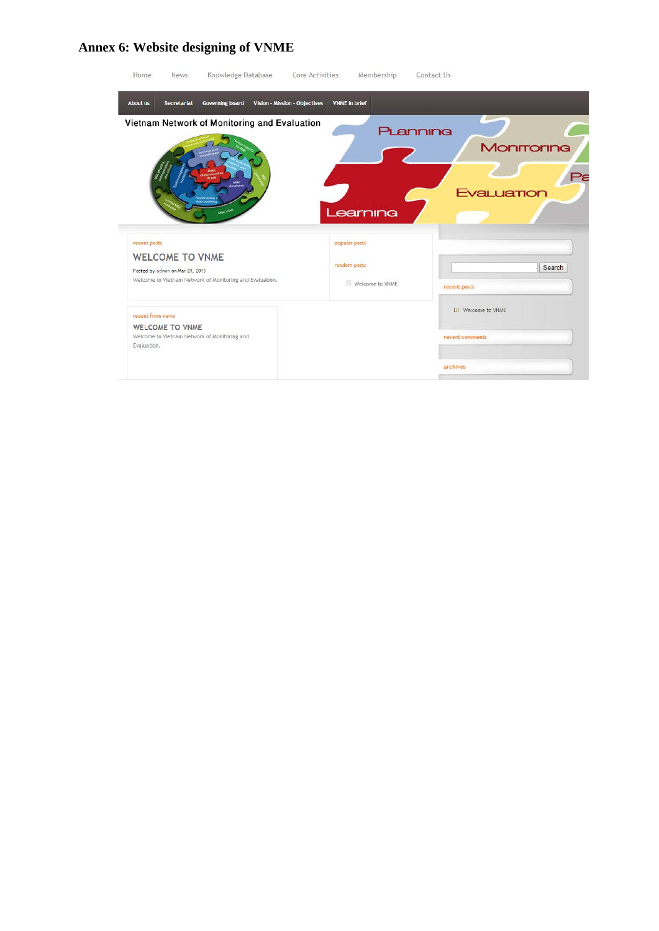#### **Annex 6: Website designing of VNME**